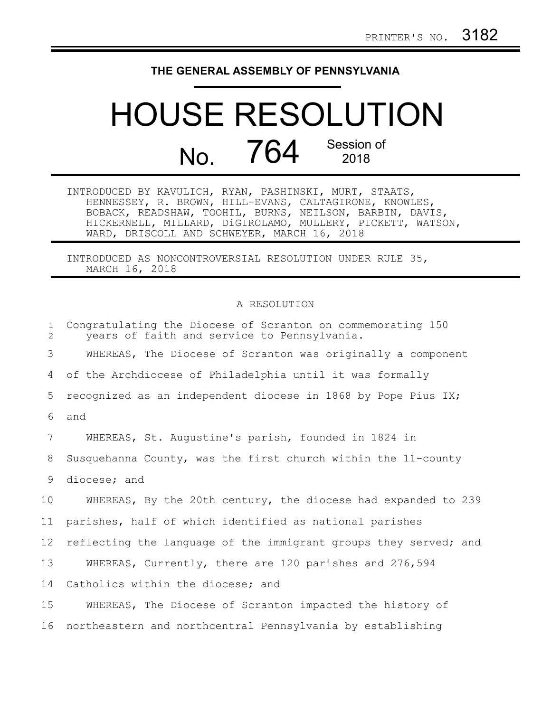## **THE GENERAL ASSEMBLY OF PENNSYLVANIA**

## HOUSE RESOLUTION No. 764 Session of 2018

INTRODUCED BY KAVULICH, RYAN, PASHINSKI, MURT, STAATS, HENNESSEY, R. BROWN, HILL-EVANS, CALTAGIRONE, KNOWLES, BOBACK, READSHAW, TOOHIL, BURNS, NEILSON, BARBIN, DAVIS, HICKERNELL, MILLARD, DiGIROLAMO, MULLERY, PICKETT, WATSON, WARD, DRISCOLL AND SCHWEYER, MARCH 16, 2018

INTRODUCED AS NONCONTROVERSIAL RESOLUTION UNDER RULE 35, MARCH 16, 2018

## A RESOLUTION

| $\mathbf{1}$<br>2 | Congratulating the Diocese of Scranton on commemorating 150<br>years of faith and service to Pennsylvania. |
|-------------------|------------------------------------------------------------------------------------------------------------|
| 3                 | WHEREAS, The Diocese of Scranton was originally a component                                                |
| 4                 | of the Archdiocese of Philadelphia until it was formally                                                   |
| 5                 | recognized as an independent diocese in 1868 by Pope Pius IX;                                              |
| 6                 | and                                                                                                        |
| 7                 | WHEREAS, St. Augustine's parish, founded in 1824 in                                                        |
| 8                 | Susquehanna County, was the first church within the 11-county                                              |
| 9                 | diocese; and                                                                                               |
| 10                | WHEREAS, By the 20th century, the diocese had expanded to 239                                              |
| 11                | parishes, half of which identified as national parishes                                                    |
| 12                | reflecting the language of the immigrant groups they served; and                                           |
| 13                | WHEREAS, Currently, there are 120 parishes and 276,594                                                     |
| 14                | Catholics within the diocese; and                                                                          |
| 15                | WHEREAS, The Diocese of Scranton impacted the history of                                                   |
| 16                | northeastern and northcentral Pennsylvania by establishing                                                 |